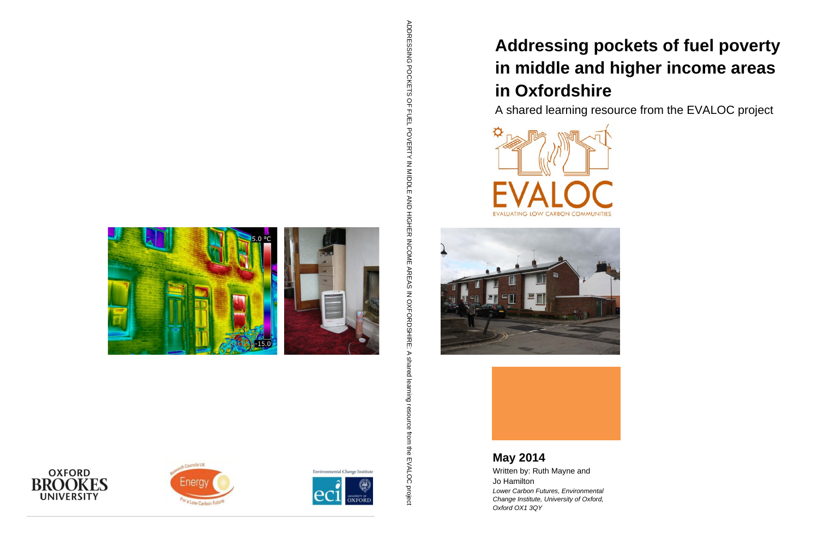# **Addressing pockets of fuel poverty in middle and higher income areas in Oxfordshire**

A shared learning resource from the EVALOC project





**May 2014** Written by: Ruth Mayne and Jo Hamilton *Lower Carbon Futures, Environmental Change Institute, University of Oxford, Oxford OX1 3QY*

ADDRESSING POCKETS OF FULL POVERTY IN MIDDLE ADDRESSING POCKETS OF FUEL POVERTY IN MIDDLE AND HIGHER INCOME AREAS IN OXFORDSHIRE: A shared learning resource from the EVALOC projectAND HOHER MOOME AREAS MOXFORDSHIRE:  $\triangleright$ shared lea ය resource from the EVALOC project









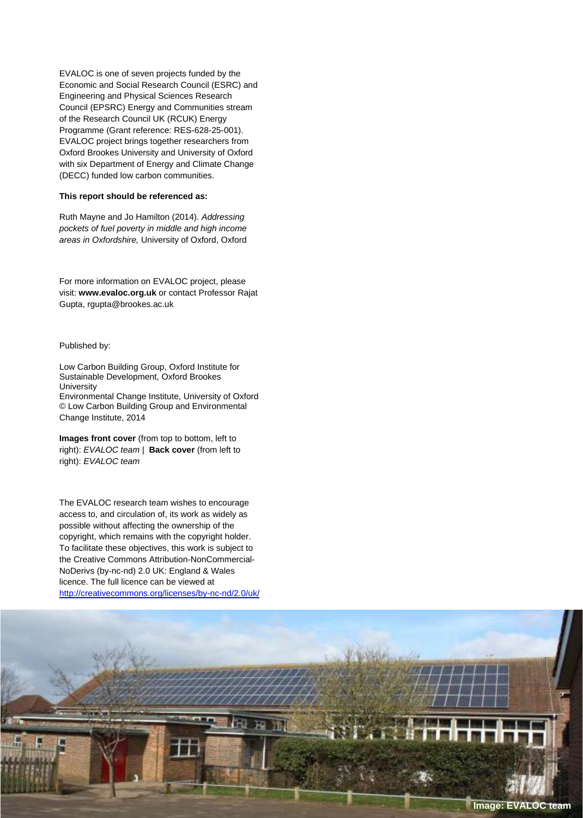EVALOC is one of seven projects funded by the Economic and Social Research Council (ESRC) and Engineering and Physical Sciences Research Council (EPSRC) Energy and Communities stream of the Research Council UK (RCUK) Energy Programme (Grant reference: RES-628-25-001). EVALOC project brings together researchers from Oxford Brookes University and University of Oxford with six Department of Energy and Climate Change (DECC) funded low carbon communities.

#### **This report should be referenced as:**

Ruth Mayne and Jo Hamilton (2014). *Addressing pockets of fuel poverty in middle and high income areas in Oxfordshire,* University of Oxford, Oxford

For more information on EVALOC project, please visit: **www.evaloc.org.uk** or contact Professor Rajat Gupta, rgupta@brookes.ac.uk

#### Published by:

Low Carbon Building Group, Oxford Institute for Sustainable Development, Oxford Brookes **University** Environmental Change Institute, University of Oxford © Low Carbon Building Group and Environmental Change Institute, 2014

**Images front cover** (from top to bottom, left to right): *EVALOC team* | **Back cover** (from left to right): *EVALOC team*

The EVALOC research team wishes to encourage access to, and circulation of, its work as widely as possible without affecting the ownership of the copyright, which remains with the copyright holder. To facilitate these objectives, this work is subject to the Creative Commons Attribution-NonCommercial-NoDerivs (by-nc-nd) 2.0 UK: England & Wales licence. The full licence can be viewed at <http://creativecommons.org/licenses/by-nc-nd/2.0/uk/>

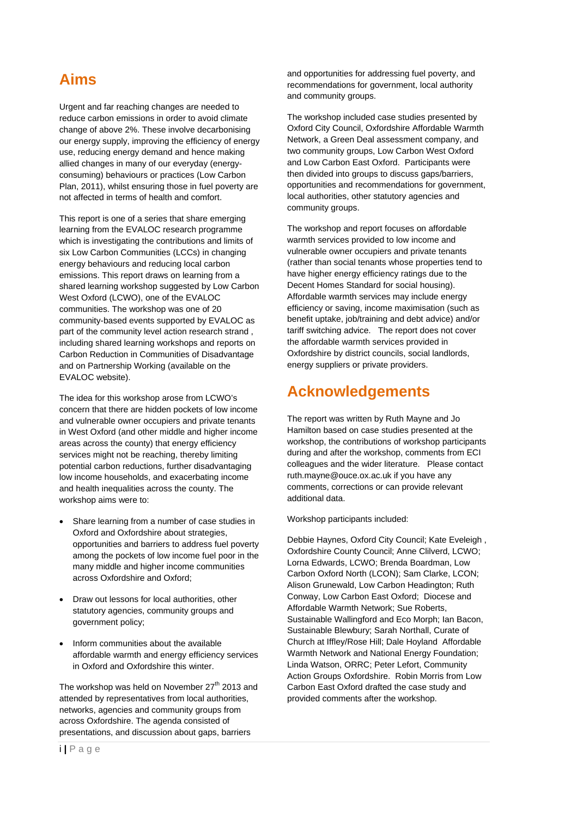### <span id="page-2-0"></span>**Aims**

Urgent and far reaching changes are needed to reduce carbon emissions in order to avoid climate change of above 2%. These involve decarbonising our energy supply, improving the efficiency of energy use, reducing energy demand and hence making allied changes in many of our everyday (energyconsuming) behaviours or practices (Low Carbon Plan, 2011), whilst ensuring those in fuel poverty are not affected in terms of health and comfort.

This report is one of a series that share emerging learning from the EVALOC research programme which is investigating the contributions and limits of six Low Carbon Communities (LCCs) in changing energy behaviours and reducing local carbon emissions. This report draws on learning from a shared learning workshop suggested by Low Carbon West Oxford (LCWO), one of the EVALOC communities. The workshop was one of 20 community-based events supported by EVALOC as part of the community level action research strand , including shared learning workshops and reports on Carbon Reduction in Communities of Disadvantage and on Partnership Working (available on the EVALOC website).

The idea for this workshop arose from LCWO's concern that there are hidden pockets of low income and vulnerable owner occupiers and private tenants in West Oxford (and other middle and higher income areas across the county) that energy efficiency services might not be reaching, thereby limiting potential carbon reductions, further disadvantaging low income households, and exacerbating income and health inequalities across the county. The workshop aims were to:

- Share learning from a number of case studies in Oxford and Oxfordshire about strategies, opportunities and barriers to address fuel poverty among the pockets of low income fuel poor in the many middle and higher income communities across Oxfordshire and Oxford;
- Draw out lessons for local authorities, other statutory agencies, community groups and government policy;
- Inform communities about the available affordable warmth and energy efficiency services in Oxford and Oxfordshire this winter.

The workshop was held on November 27<sup>th</sup> 2013 and attended by representatives from local authorities, networks, agencies and community groups from across Oxfordshire. The agenda consisted of presentations, and discussion about gaps, barriers

and opportunities for addressing fuel poverty, and recommendations for government, local authority and community groups.

The workshop included case studies presented by Oxford City Council, Oxfordshire Affordable Warmth Network, a Green Deal assessment company, and two community groups, Low Carbon West Oxford and Low Carbon East Oxford. Participants were then divided into groups to discuss gaps/barriers, opportunities and recommendations for government, local authorities, other statutory agencies and community groups.

The workshop and report focuses on affordable warmth services provided to low income and vulnerable owner occupiers and private tenants (rather than social tenants whose properties tend to have higher energy efficiency ratings due to the Decent Homes Standard for social housing). Affordable warmth services may include energy efficiency or saving, income maximisation (such as benefit uptake, job/training and debt advice) and/or tariff switching advice. The report does not cover the affordable warmth services provided in Oxfordshire by district councils, social landlords, energy suppliers or private providers.

### <span id="page-2-1"></span>**Acknowledgements**

The report was written by Ruth Mayne and Jo Hamilton based on case studies presented at the workshop, the contributions of workshop participants during and after the workshop, comments from ECI colleagues and the wider literature. Please contact ruth.mayne@ouce.ox.ac.uk if you have any comments, corrections or can provide relevant additional data.

Workshop participants included:

Debbie Haynes, Oxford City Council; Kate Eveleigh , Oxfordshire County Council; Anne Clilverd, LCWO; Lorna Edwards, LCWO; Brenda Boardman, Low Carbon Oxford North (LCON); Sam Clarke, LCON; Alison Grunewald, Low Carbon Headington; Ruth Conway, Low Carbon East Oxford; Diocese and Affordable Warmth Network; Sue Roberts, Sustainable Wallingford and Eco Morph; Ian Bacon, Sustainable Blewbury; Sarah Northall, Curate of Church at Iffley/Rose Hill; Dale Hoyland Affordable Warmth Network and National Energy Foundation; Linda Watson, ORRC; Peter Lefort, Community Action Groups Oxfordshire. Robin Morris from Low Carbon East Oxford drafted the case study and provided comments after the workshop.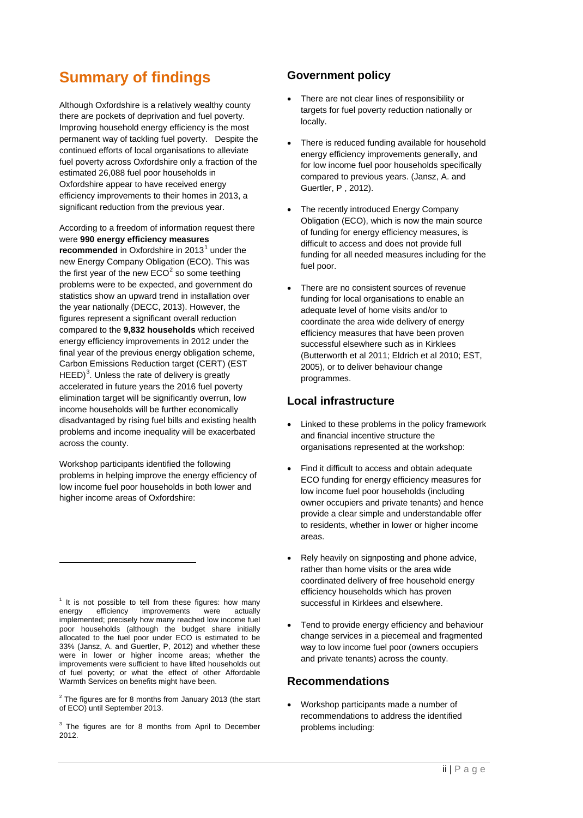### <span id="page-3-3"></span>**Summary of findings**

Although Oxfordshire is a relatively wealthy county there are pockets of deprivation and fuel poverty. Improving household energy efficiency is the most permanent way of tackling fuel poverty. Despite the continued efforts of local organisations to alleviate fuel poverty across Oxfordshire only a fraction of the estimated 26,088 fuel poor households in Oxfordshire appear to have received energy efficiency improvements to their homes in 2013, a significant reduction from the previous year.

According to a freedom of information request there were **990 energy efficiency measures** 

**recommended** in Oxfordshire in 20[1](#page-3-0)3<sup>1</sup> under the new Energy Company Obligation (ECO). This was the first year of the new  $ECO<sup>2</sup>$  $ECO<sup>2</sup>$  $ECO<sup>2</sup>$  so some teething problems were to be expected, and government do statistics show an upward trend in installation over the year nationally (DECC, 2013). However, the figures represent a significant overall reduction compared to the **9,832 households** which received energy efficiency improvements in 2012 under the final year of the previous energy obligation scheme, Carbon Emissions Reduction target (CERT) (EST HEED)<sup>[3](#page-3-2)</sup>. Unless the rate of delivery is greatly accelerated in future years the 2016 fuel poverty elimination target will be significantly overrun, low income households will be further economically disadvantaged by rising fuel bills and existing health problems and income inequality will be exacerbated across the county.

Workshop participants identified the following problems in helping improve the energy efficiency of low income fuel poor households in both lower and higher income areas of Oxfordshire:

-

<span id="page-3-1"></span> $2$  The figures are for 8 months from January 2013 (the start of ECO) until September 2013.

#### **Government policy**

- There are not clear lines of responsibility or targets for fuel poverty reduction nationally or locally.
- There is reduced funding available for household energy efficiency improvements generally, and for low income fuel poor households specifically compared to previous years. (Jansz, A. and Guertler, P , 2012).
- The recently introduced Energy Company Obligation (ECO), which is now the main source of funding for energy efficiency measures, is difficult to access and does not provide full funding for all needed measures including for the fuel poor.
- There are no consistent sources of revenue funding for local organisations to enable an adequate level of home visits and/or to coordinate the area wide delivery of energy efficiency measures that have been proven successful elsewhere such as in Kirklees (Butterworth et al 2011; Eldrich et al 2010; EST, 2005), or to deliver behaviour change programmes.

#### **Local infrastructure**

- Linked to these problems in the policy framework and financial incentive structure the organisations represented at the workshop:
- Find it difficult to access and obtain adequate ECO funding for energy efficiency measures for low income fuel poor households (including owner occupiers and private tenants) and hence provide a clear simple and understandable offer to residents, whether in lower or higher income areas.
- Rely heavily on signposting and phone advice, rather than home visits or the area wide coordinated delivery of free household energy efficiency households which has proven successful in Kirklees and elsewhere.
- Tend to provide energy efficiency and behaviour change services in a piecemeal and fragmented way to low income fuel poor (owners occupiers and private tenants) across the county.

#### **Recommendations**

• Workshop participants made a number of recommendations to address the identified problems including:

<span id="page-3-0"></span> $1$  It is not possible to tell from these figures: how many energy efficiency improvements were actually improvements implemented; precisely how many reached low income fuel poor households (although the budget share initially allocated to the fuel poor under ECO is estimated to be 33% (Jansz, A. and Guertler, P, 2012) and whether these were in lower or higher income areas; whether the improvements were sufficient to have lifted households out of fuel poverty; or what the effect of other Affordable Warmth Services on benefits might have been.

<span id="page-3-2"></span><sup>&</sup>lt;sup>3</sup> The figures are for 8 months from April to December 2012.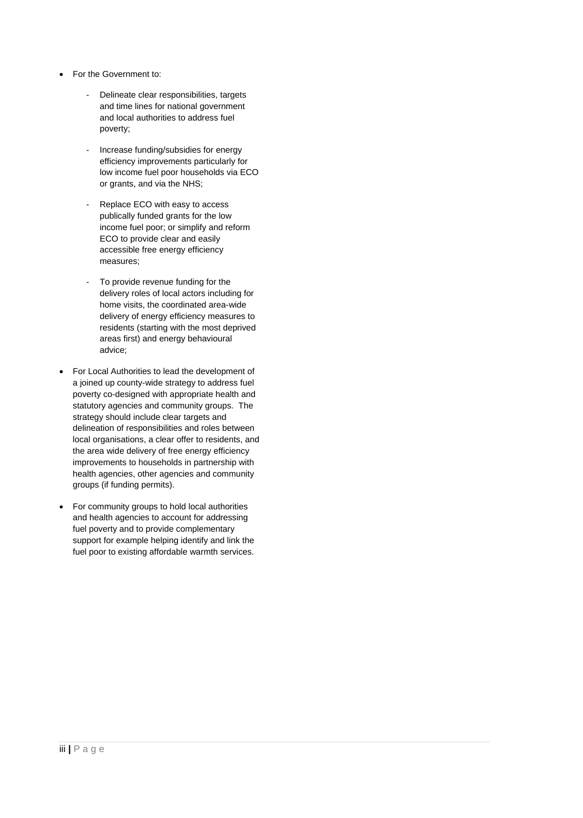- For the Government to:
	- Delineate clear responsibilities, targets and time lines for national government and local authorities to address fuel poverty;
	- Increase funding/subsidies for energy efficiency improvements particularly for low income fuel poor households via ECO or grants, and via the NHS;
	- Replace ECO with easy to access publically funded grants for the low income fuel poor; or simplify and reform ECO to provide clear and easily accessible free energy efficiency measures;
	- To provide revenue funding for the delivery roles of local actors including for home visits, the coordinated area-wide delivery of energy efficiency measures to residents (starting with the most deprived areas first) and energy behavioural advice;
- For Local Authorities to lead the development of a joined up county-wide strategy to address fuel poverty co-designed with appropriate health and statutory agencies and community groups. The strategy should include clear targets and delineation of responsibilities and roles between local organisations, a clear offer to residents, and the area wide delivery of free energy efficiency improvements to households in partnership with health agencies, other agencies and community groups (if funding permits).
- For community groups to hold local authorities and health agencies to account for addressing fuel poverty and to provide complementary support for example helping identify and link the fuel poor to existing affordable warmth services.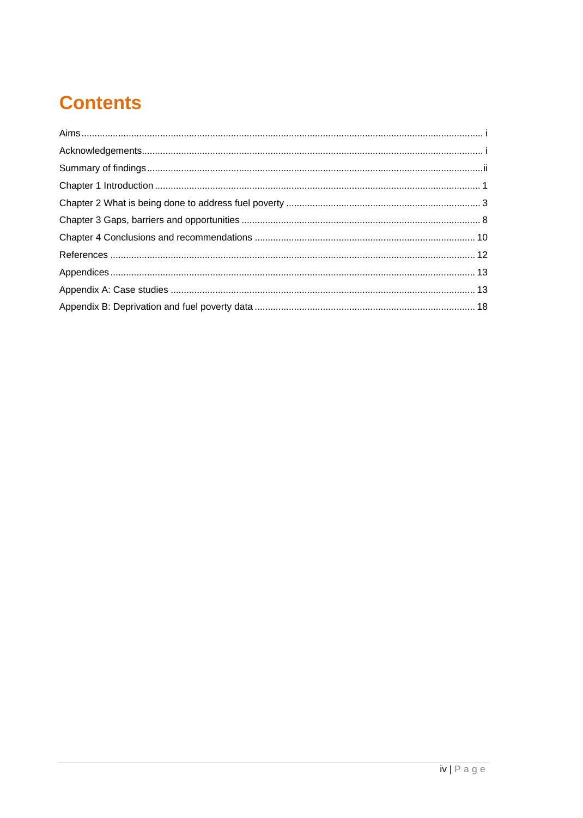# **Contents**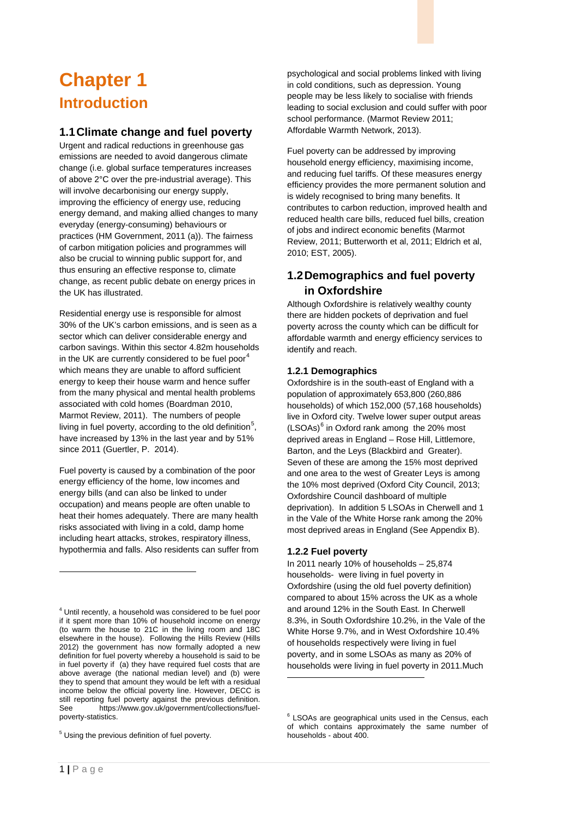# <span id="page-6-0"></span>**Chapter 1 Introduction**

#### **1.1Climate change and fuel poverty**

Urgent and radical reductions in greenhouse gas emissions are needed to avoid dangerous climate change (i.e. global surface temperatures increases of above 2°C over the pre-industrial average). This will involve decarbonising our energy supply, improving the efficiency of energy use, reducing energy demand, and making allied changes to many everyday (energy-consuming) behaviours or practices (HM Government, 2011 (a)). The fairness of carbon mitigation policies and programmes will also be crucial to winning public support for, and thus ensuring an effective response to, climate change, as recent public debate on energy prices in the UK has illustrated.

Residential energy use is responsible for almost 30% of the UK's carbon emissions, and is seen as a sector which can deliver considerable energy and carbon savings. Within this sector 4.82m households in the UK are currently considered to be fuel poor $<sup>4</sup>$  $<sup>4</sup>$  $<sup>4</sup>$ </sup> which means they are unable to afford sufficient energy to keep their house warm and hence suffer from the many physical and mental health problems associated with cold homes (Boardman 2010, Marmot Review, 2011). The numbers of people living in fuel poverty, according to the old definition<sup>[5](#page-6-2)</sup>, have increased by 13% in the last year and by 51% since 2011 (Guertler, P. 2014).

Fuel poverty is caused by a combination of the poor energy efficiency of the home, low incomes and energy bills (and can also be linked to under occupation) and means people are often unable to heat their homes adequately. There are many health risks associated with living in a cold, damp home including heart attacks, strokes, respiratory illness, hypothermia and falls. Also residents can suffer from

j

psychological and social problems linked with living in cold conditions, such as depression. Young people may be less likely to socialise with friends leading to social exclusion and could suffer with poor school performance. (Marmot Review 2011; Affordable Warmth Network, 2013).

Fuel poverty can be addressed by improving household energy efficiency, maximising income, and reducing fuel tariffs. Of these measures energy efficiency provides the more permanent solution and is widely recognised to bring many benefits. It contributes to carbon reduction, improved health and reduced health care bills, reduced fuel bills, creation of jobs and indirect economic benefits (Marmot Review, 2011; Butterworth et al, 2011; Eldrich et al, 2010; EST, 2005).

#### **1.2Demographics and fuel poverty in Oxfordshire**

Although Oxfordshire is relatively wealthy county there are hidden pockets of deprivation and fuel poverty across the county which can be difficult for affordable warmth and energy efficiency services to identify and reach.

#### **1.2.1 Demographics**

Oxfordshire is in the south-east of England with a population of approximately 653,800 (260,886 households) of which 152,000 (57,168 households) live in Oxford city. Twelve lower super output areas  $(LSOAs)^6$  $(LSOAs)^6$  in Oxford rank among the 20% most deprived areas in England – Rose Hill, Littlemore, Barton, and the Leys (Blackbird and Greater). Seven of these are among the 15% most deprived and one area to the west of Greater Leys is among the 10% most deprived (Oxford City Council, 2013; Oxfordshire Council dashboard of multiple deprivation). In addition 5 LSOAs in Cherwell and 1 in the Vale of the White Horse rank among the 20% most deprived areas in England (See Appendix B).

#### **1.2.2 Fuel poverty**

-

In 2011 nearly 10% of households – 25,874 households- were living in fuel poverty in Oxfordshire (using the old fuel poverty definition) compared to about 15% across the UK as a whole and around 12% in the South East. In Cherwell 8.3%, in South Oxfordshire 10.2%, in the Vale of the White Horse 9.7%, and in West Oxfordshire 10.4% of households respectively were living in fuel poverty, and in some LSOAs as many as 20% of households were living in fuel poverty in 2011.Much

<span id="page-6-1"></span><sup>4</sup> Until recently, a household was considered to be fuel poor if it spent more than 10% of household income on energy (to warm the house to 21C in the living room and 18C elsewhere in the house). Following the Hills Review (Hills 2012) the government has now formally adopted a new definition for fuel poverty whereby a household is said to be in fuel poverty if (a) they have required fuel costs that are above average (the national median level) and (b) were they to spend that amount they would be left with a residual income below the official poverty line. However, DECC is still reporting fuel poverty against the previous definition. See https://www.gov.uk/government/collections/fuelpoverty-statistics.

<span id="page-6-3"></span><span id="page-6-2"></span><sup>5</sup> Using the previous definition of fuel poverty.

 $6$  LSOAs are geographical units used in the Census, each of which contains approximately the same number of households - about 400.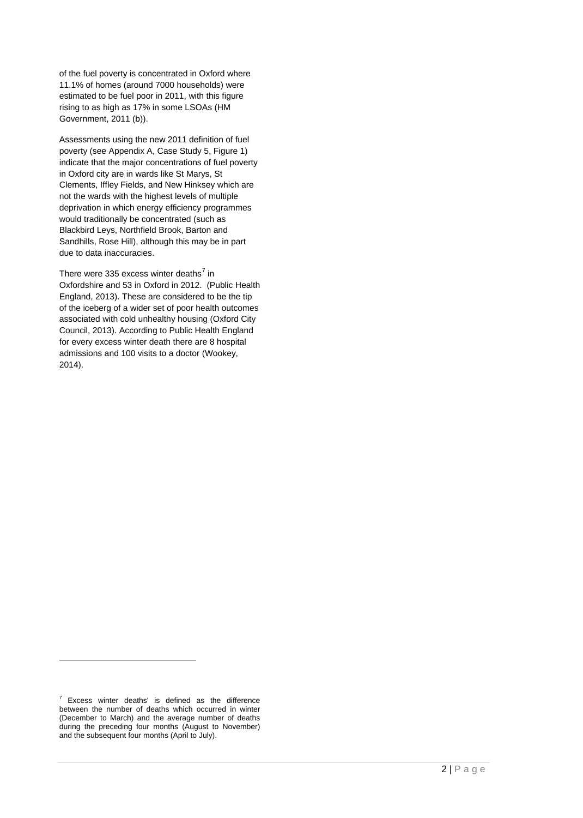of the fuel poverty is concentrated in Oxford where 11.1% of homes (around 7000 households) were estimated to be fuel poor in 2011, with this figure rising to as high as 17% in some LSOAs (HM Government, 2011 (b)).

Assessments using the new 2011 definition of fuel poverty (see Appendix A, Case Study 5, Figure 1) indicate that the major concentrations of fuel poverty in Oxford city are in wards like St Marys, St Clements, Iffley Fields, and New Hinksey which are not the wards with the highest levels of multiple deprivation in which energy efficiency programmes would traditionally be concentrated (such as Blackbird Leys, Northfield Brook, Barton and Sandhills, Rose Hill), although this may be in part due to data inaccuracies.

There were 335 excess winter deaths<sup>[7](#page-7-0)</sup> in Oxfordshire and 53 in Oxford in 2012. (Public Health England, 2013). These are considered to be the tip of the iceberg of a wider set of poor health outcomes associated with cold unhealthy housing (Oxford City Council, 2013). According to Public Health England for every excess winter death there are 8 hospital admissions and 100 visits to a doctor (Wookey, 2014).

j

<span id="page-7-0"></span> $7$  Excess winter deaths' is defined as the difference between the number of deaths which occurred in winter (December to March) and the average number of deaths during the preceding four months (August to November) and the subsequent four months (April to July).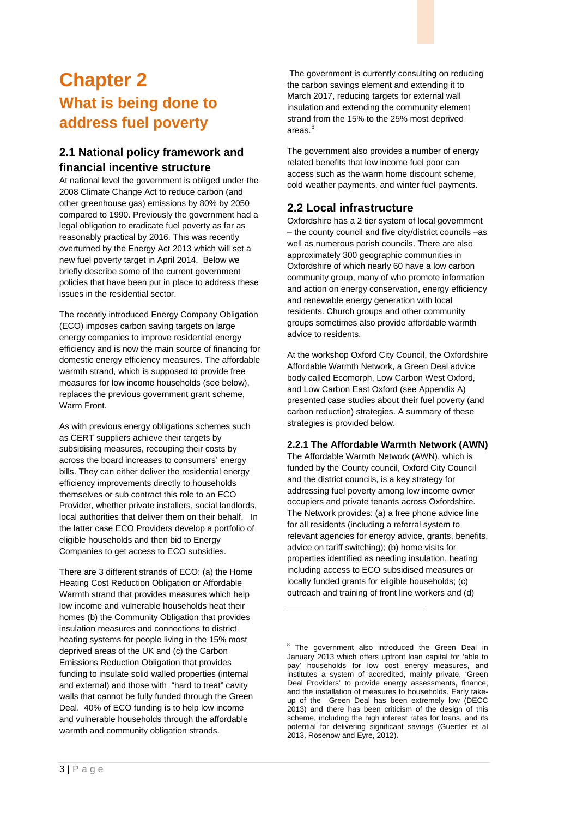## <span id="page-8-0"></span>**Chapter 2 What is being done to address fuel poverty**

#### **2.1 National policy framework and financial incentive structure**

At national level the government is obliged under the 2008 Climate Change Act to reduce carbon (and other greenhouse gas) emissions by 80% by 2050 compared to 1990. Previously the government had a legal obligation to eradicate fuel poverty as far as reasonably practical by 2016. This was recently overturned by the Energy Act 2013 which will set a new fuel poverty target in April 2014. Below we briefly describe some of the current government policies that have been put in place to address these issues in the residential sector.

The recently introduced Energy Company Obligation (ECO) imposes carbon saving targets on large energy companies to improve residential energy efficiency and is now the main source of financing for domestic energy efficiency measures. The affordable warmth strand, which is supposed to provide free measures for low income households (see below), replaces the previous government grant scheme, Warm Front.

As with previous energy obligations schemes such as CERT suppliers achieve their targets by subsidising measures, recouping their costs by across the board increases to consumers' energy bills. They can either deliver the residential energy efficiency improvements directly to households themselves or sub contract this role to an ECO Provider, whether private installers, social landlords, local authorities that deliver them on their behalf. In the latter case ECO Providers develop a portfolio of eligible households and then bid to Energy Companies to get access to ECO subsidies.

<span id="page-8-1"></span>There are 3 different strands of ECO: (a) the Home Heating Cost Reduction Obligation or Affordable Warmth strand that provides measures which help low income and vulnerable households heat their homes (b) the Community Obligation that provides insulation measures and connections to district heating systems for people living in the 15% most deprived areas of the UK and (c) the Carbon Emissions Reduction Obligation that provides funding to insulate solid walled properties (internal and external) and those with "hard to treat" cavity walls that cannot be fully funded through the Green Deal. 40% of ECO funding is to help low income and vulnerable households through the affordable warmth and community obligation strands.

The government is currently consulting on reducing the carbon savings element and extending it to March 2017, reducing targets for external wall insulation and extending the community element strand from the 15% to the 25% most deprived areas.<sup>[8](#page-8-1)</sup>

The government also provides a number of energy related benefits that low income fuel poor can access such as the warm home discount scheme, cold weather payments, and winter fuel payments.

#### **2.2 Local infrastructure**

Oxfordshire has a 2 tier system of local government – the county council and five city/district councils –as well as numerous parish councils. There are also approximately 300 geographic communities in Oxfordshire of which nearly 60 have a low carbon community group, many of who promote information and action on energy conservation, energy efficiency and renewable energy generation with local residents. Church groups and other community groups sometimes also provide affordable warmth advice to residents.

At the workshop Oxford City Council, the Oxfordshire Affordable Warmth Network, a Green Deal advice body called Ecomorph, Low Carbon West Oxford, and Low Carbon East Oxford (see Appendix A) presented case studies about their fuel poverty (and carbon reduction) strategies. A summary of these strategies is provided below.

#### **2.2.1 The Affordable Warmth Network (AWN)**

The Affordable Warmth Network (AWN), which is funded by the County council, Oxford City Council and the district councils, is a key strategy for addressing fuel poverty among low income owner occupiers and private tenants across Oxfordshire. The Network provides: (a) a free phone advice line for all residents (including a referral system to relevant agencies for energy advice, grants, benefits, advice on tariff switching); (b) home visits for properties identified as needing insulation, heating including access to ECO subsidised measures or locally funded grants for eligible households; (c) outreach and training of front line workers and (d)

 $8$  The government also introduced the Green Deal in January 2013 which offers upfront loan capital for 'able to pay' households for low cost energy measures, and institutes a system of accredited, mainly private, 'Green Deal Providers' to provide energy assessments, finance, and the installation of measures to households. Early takeup of the Green Deal has been extremely low (DECC 2013) and there has been criticism of the design of this scheme, including the high interest rates for loans, and its potential for delivering significant savings (Guertler et al 2013, Rosenow and Eyre, 2012).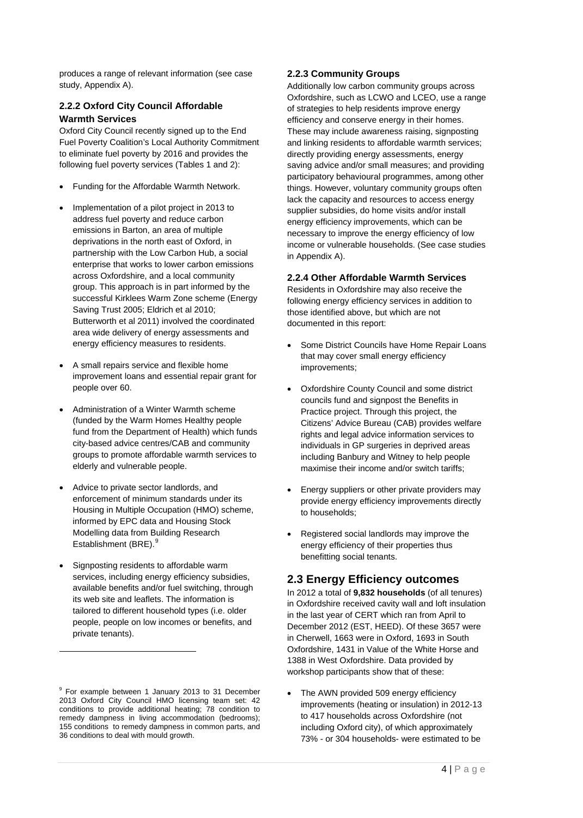produces a range of relevant information (see case study, Appendix A).

#### **2.2.2 Oxford City Council Affordable Warmth Services**

Oxford City Council recently signed up to the End Fuel Poverty Coalition's Local Authority Commitment to eliminate fuel poverty by 2016 and provides the following fuel poverty services (Tables 1 and 2):

- Funding for the Affordable Warmth Network.
- Implementation of a pilot project in 2013 to address fuel poverty and reduce carbon emissions in Barton, an area of multiple deprivations in the north east of Oxford, in partnership with the Low Carbon Hub, a social enterprise that works to lower carbon emissions across Oxfordshire, and a local community group. This approach is in part informed by the successful Kirklees Warm Zone scheme (Energy Saving Trust 2005; Eldrich et al 2010; Butterworth et al 2011) involved the coordinated area wide delivery of energy assessments and energy efficiency measures to residents.
- A small repairs service and flexible home improvement loans and essential repair grant for people over 60.
- Administration of a Winter Warmth scheme (funded by the Warm Homes Healthy people fund from the Department of Health) which funds city-based advice centres/CAB and community groups to promote affordable warmth services to elderly and vulnerable people.
- Advice to private sector landlords, and enforcement of minimum standards under its Housing in Multiple Occupation (HMO) scheme, informed by EPC data and Housing Stock Modelling data from Building Research Establishment (BRE).<sup>[9](#page-9-0)</sup>
- Signposting residents to affordable warm services, including energy efficiency subsidies, available benefits and/or fuel switching, through its web site and leaflets. The information is tailored to different household types (i.e. older people, people on low incomes or benefits, and private tenants).

-

#### **2.2.3 Community Groups**

Additionally low carbon community groups across Oxfordshire, such as LCWO and LCEO, use a range of strategies to help residents improve energy efficiency and conserve energy in their homes. These may include awareness raising, signposting and linking residents to affordable warmth services; directly providing energy assessments, energy saving advice and/or small measures; and providing participatory behavioural programmes, among other things. However, voluntary community groups often lack the capacity and resources to access energy supplier subsidies, do home visits and/or install energy efficiency improvements, which can be necessary to improve the energy efficiency of low income or vulnerable households. (See case studies in Appendix A).

#### **2.2.4 Other Affordable Warmth Services**

Residents in Oxfordshire may also receive the following energy efficiency services in addition to those identified above, but which are not documented in this report:

- Some District Councils have Home Repair Loans that may cover small energy efficiency improvements;
- Oxfordshire County Council and some district councils fund and signpost the Benefits in Practice project. Through this project, the Citizens' Advice Bureau (CAB) provides welfare rights and legal advice information services to individuals in GP surgeries in deprived areas including Banbury and Witney to help people maximise their income and/or switch tariffs;
- Energy suppliers or other private providers may provide energy efficiency improvements directly to households;
- Registered social landlords may improve the energy efficiency of their properties thus benefitting social tenants.

#### **2.3 Energy Efficiency outcomes**

In 2012 a total of **9,832 households** (of all tenures) in Oxfordshire received cavity wall and loft insulation in the last year of CERT which ran from April to December 2012 (EST, HEED). Of these 3657 were in Cherwell, 1663 were in Oxford, 1693 in South Oxfordshire, 1431 in Value of the White Horse and 1388 in West Oxfordshire. Data provided by workshop participants show that of these:

• The AWN provided 509 energy efficiency improvements (heating or insulation) in 2012-13 to 417 households across Oxfordshire (not including Oxford city), of which approximately 73% - or 304 households- were estimated to be

<span id="page-9-0"></span><sup>&</sup>lt;sup>9</sup> For example between 1 January 2013 to 31 December 2013 Oxford City Council HMO licensing team set: 42 conditions to provide additional heating; 78 condition to remedy dampness in living accommodation (bedrooms); 155 conditions to remedy dampness in common parts, and 36 conditions to deal with mould growth.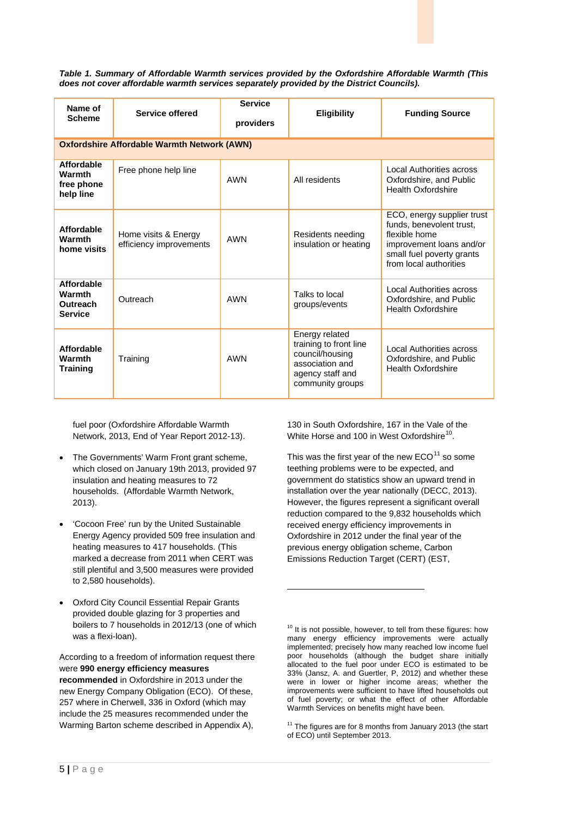*Table 1. Summary of Affordable Warmth services provided by the Oxfordshire Affordable Warmth (This does not cover affordable warmth services separately provided by the District Councils).*

| Name of<br><b>Scheme</b>                                      | Service offered                                 | <b>Service</b><br>providers | <b>Eligibility</b>                                                                                                     | <b>Funding Source</b>                                                                                                                                      |  |  |
|---------------------------------------------------------------|-------------------------------------------------|-----------------------------|------------------------------------------------------------------------------------------------------------------------|------------------------------------------------------------------------------------------------------------------------------------------------------------|--|--|
| <b>Oxfordshire Affordable Warmth Network (AWN)</b>            |                                                 |                             |                                                                                                                        |                                                                                                                                                            |  |  |
| <b>Affordable</b><br><b>Warmth</b><br>free phone<br>help line | Free phone help line                            | <b>AWN</b>                  | All residents                                                                                                          | Local Authorities across<br>Oxfordshire, and Public<br><b>Health Oxfordshire</b>                                                                           |  |  |
| Affordable<br>Warmth<br>home visits                           | Home visits & Energy<br>efficiency improvements | <b>AWN</b>                  | Residents needing<br>insulation or heating                                                                             | ECO, energy supplier trust<br>funds, benevolent trust,<br>flexible home<br>improvement loans and/or<br>small fuel poverty grants<br>from local authorities |  |  |
| <b>Affordable</b><br>Warmth<br>Outreach<br><b>Service</b>     | Outreach                                        | <b>AWN</b>                  | Talks to local<br>groups/events                                                                                        | Local Authorities across<br>Oxfordshire, and Public<br><b>Health Oxfordshire</b>                                                                           |  |  |
| Affordable<br>Warmth<br><b>Training</b>                       | Training                                        | <b>AWN</b>                  | Energy related<br>training to front line<br>council/housing<br>association and<br>agency staff and<br>community groups | Local Authorities across<br>Oxfordshire, and Public<br><b>Health Oxfordshire</b>                                                                           |  |  |

-

fuel poor (Oxfordshire Affordable Warmth Network, 2013, End of Year Report 2012-13).

- The Governments' Warm Front grant scheme, which closed on January 19th 2013, provided 97 insulation and heating measures to 72 households. (Affordable Warmth Network, 2013).
- 'Cocoon Free' run by the United Sustainable Energy Agency provided 509 free insulation and heating measures to 417 households. (This marked a decrease from 2011 when CERT was still plentiful and 3,500 measures were provided to 2,580 households).
- Oxford City Council Essential Repair Grants provided double glazing for 3 properties and boilers to 7 households in 2012/13 (one of which was a flexi-loan).

<span id="page-10-1"></span><span id="page-10-0"></span>According to a freedom of information request there were **990 energy efficiency measures recommended** in Oxfordshire in 2013 under the new Energy Company Obligation (ECO). Of these, 257 where in Cherwell, 336 in Oxford (which may include the 25 measures recommended under the Warming Barton scheme described in Appendix A),

130 in South Oxfordshire, 167 in the Vale of the White Horse and [10](#page-10-0)0 in West Oxfordshire<sup>10</sup>.

This was the first year of the new  $ECO<sup>11</sup>$  $ECO<sup>11</sup>$  $ECO<sup>11</sup>$  so some teething problems were to be expected, and government do statistics show an upward trend in installation over the year nationally (DECC, 2013). However, the figures represent a significant overall reduction compared to the 9,832 households which received energy efficiency improvements in Oxfordshire in 2012 under the final year of the previous energy obligation scheme, Carbon Emissions Reduction Target (CERT) (EST,

 $10$  It is not possible, however, to tell from these figures: how many energy efficiency improvements were actually implemented; precisely how many reached low income fuel poor households (although the budget share initially allocated to the fuel poor under ECO is estimated to be 33% (Jansz, A. and Guertler, P, 2012) and whether these were in lower or higher income areas; whether the improvements were sufficient to have lifted households out of fuel poverty; or what the effect of other Affordable Warmth Services on benefits might have been.

 $11$  The figures are for 8 months from January 2013 (the start of ECO) until September 2013.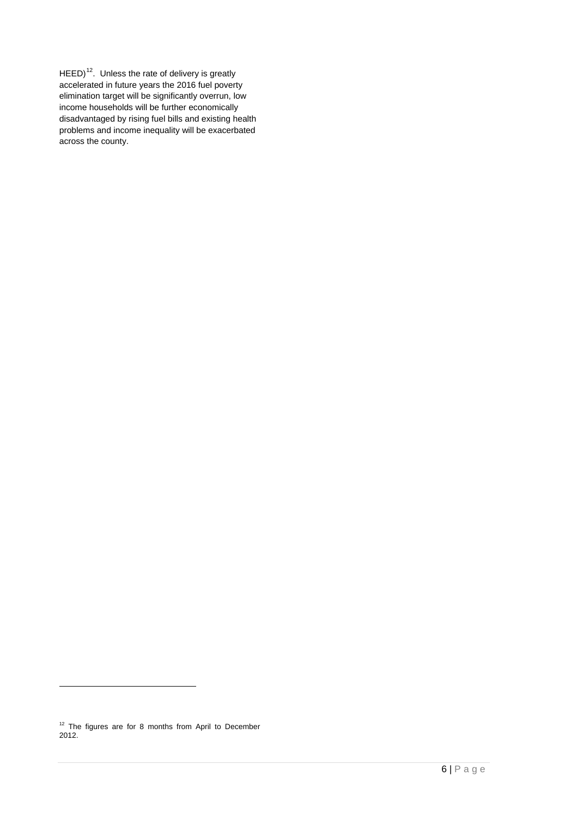$HEED$ <sup>12</sup>. Unless the rate of delivery is greatly accelerated in future years the 2016 fuel poverty elimination target will be significantly overrun, low income households will be further economically disadvantaged by rising fuel bills and existing health problems and income inequality will be exacerbated across the county.

<span id="page-11-0"></span> $12$  The figures are for 8 months from April to December 2012.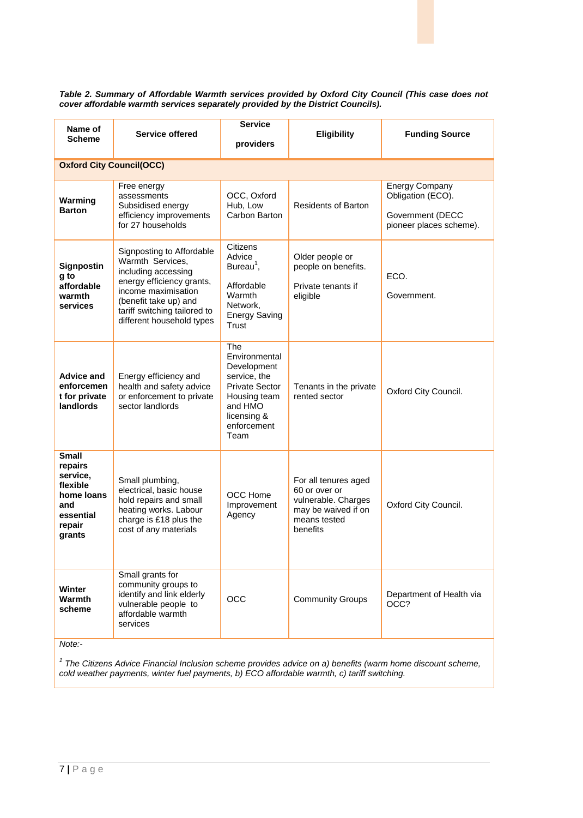*Table 2. Summary of Affordable Warmth services provided by Oxford City Council (This case does not cover affordable warmth services separately provided by the District Councils).*

| providers<br><b>Oxford City Council(OCC)</b><br><b>Energy Company</b><br>Free energy<br>OCC, Oxford<br>Obligation (ECO).<br>assessments<br>Warming<br>Hub, Low<br><b>Residents of Barton</b><br>Subsidised energy<br><b>Barton</b><br>Carbon Barton<br>efficiency improvements<br>Government (DECC<br>for 27 households<br>pioneer places scheme).<br>Citizens<br>Signposting to Affordable<br>Advice<br>Older people or<br>Warmth Services,<br>Bureau <sup>1</sup> ,<br>Signpostin<br>people on benefits.<br>including accessing<br>g to<br>ECO.<br>energy efficiency grants,<br>Affordable<br>affordable<br>Private tenants if<br>income maximisation<br>Warmth<br>warmth<br>eligible<br>Government.<br>(benefit take up) and<br>Network.<br>services<br>tariff switching tailored to<br><b>Energy Saving</b><br>different household types<br><b>Trust</b><br>The<br>Environmental<br>Development<br><b>Advice and</b><br>Energy efficiency and<br>service, the<br>enforcemen<br>health and safety advice<br><b>Private Sector</b><br>Tenants in the private<br>Oxford City Council.<br>or enforcement to private<br>rented sector<br>t for private<br>Housing team<br>landlords<br>sector landlords<br>and HMO<br>licensing &<br>enforcement<br>Team<br>Small<br>repairs<br>service,<br>Small plumbing,<br>For all tenures aged<br>flexible<br>electrical, basic house<br>60 or over or<br><b>OCC Home</b><br>home loans<br>hold repairs and small<br>vulnerable. Charges<br>Improvement<br>Oxford City Council.<br>and<br>heating works. Labour<br>may be waived if on<br>essential<br>Agency<br>charge is £18 plus the<br>means tested | Name of | Service offered       | <b>Service</b> | <b>Eligibility</b> | <b>Funding Source</b> |  |  |
|---------------------------------------------------------------------------------------------------------------------------------------------------------------------------------------------------------------------------------------------------------------------------------------------------------------------------------------------------------------------------------------------------------------------------------------------------------------------------------------------------------------------------------------------------------------------------------------------------------------------------------------------------------------------------------------------------------------------------------------------------------------------------------------------------------------------------------------------------------------------------------------------------------------------------------------------------------------------------------------------------------------------------------------------------------------------------------------------------------------------------------------------------------------------------------------------------------------------------------------------------------------------------------------------------------------------------------------------------------------------------------------------------------------------------------------------------------------------------------------------------------------------------------------------------------------------------------------------------------------------------------------------|---------|-----------------------|----------------|--------------------|-----------------------|--|--|
|                                                                                                                                                                                                                                                                                                                                                                                                                                                                                                                                                                                                                                                                                                                                                                                                                                                                                                                                                                                                                                                                                                                                                                                                                                                                                                                                                                                                                                                                                                                                                                                                                                             |         | <b>Scheme</b>         |                |                    |                       |  |  |
|                                                                                                                                                                                                                                                                                                                                                                                                                                                                                                                                                                                                                                                                                                                                                                                                                                                                                                                                                                                                                                                                                                                                                                                                                                                                                                                                                                                                                                                                                                                                                                                                                                             |         |                       |                |                    |                       |  |  |
|                                                                                                                                                                                                                                                                                                                                                                                                                                                                                                                                                                                                                                                                                                                                                                                                                                                                                                                                                                                                                                                                                                                                                                                                                                                                                                                                                                                                                                                                                                                                                                                                                                             |         |                       |                |                    |                       |  |  |
|                                                                                                                                                                                                                                                                                                                                                                                                                                                                                                                                                                                                                                                                                                                                                                                                                                                                                                                                                                                                                                                                                                                                                                                                                                                                                                                                                                                                                                                                                                                                                                                                                                             |         |                       |                |                    |                       |  |  |
|                                                                                                                                                                                                                                                                                                                                                                                                                                                                                                                                                                                                                                                                                                                                                                                                                                                                                                                                                                                                                                                                                                                                                                                                                                                                                                                                                                                                                                                                                                                                                                                                                                             |         |                       |                |                    |                       |  |  |
| grants                                                                                                                                                                                                                                                                                                                                                                                                                                                                                                                                                                                                                                                                                                                                                                                                                                                                                                                                                                                                                                                                                                                                                                                                                                                                                                                                                                                                                                                                                                                                                                                                                                      | repair  | cost of any materials |                | benefits           |                       |  |  |
| Small grants for<br>community groups to<br><b>Winter</b><br>identify and link elderly<br>Department of Health via<br><b>Warmth</b><br><b>OCC</b><br><b>Community Groups</b><br>vulnerable people to<br>OCC?<br>scheme<br>affordable warmth<br>services<br>Note:-                                                                                                                                                                                                                                                                                                                                                                                                                                                                                                                                                                                                                                                                                                                                                                                                                                                                                                                                                                                                                                                                                                                                                                                                                                                                                                                                                                            |         |                       |                |                    |                       |  |  |

<sup>1</sup> The Citizens Advice Financial Inclusion scheme provides advice on a) benefits (warm home discount scheme, *cold weather payments, winter fuel payments, b) ECO affordable warmth, c) tariff switching.*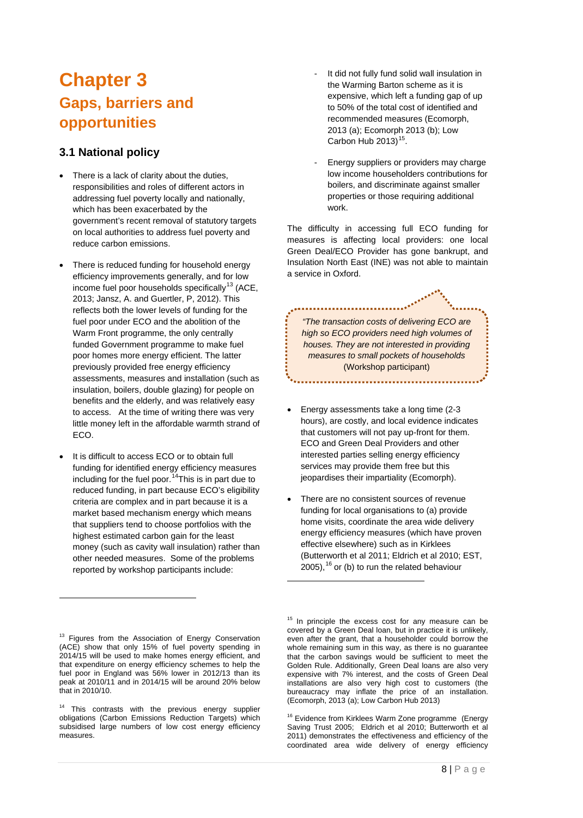### <span id="page-13-0"></span>**Chapter 3 Gaps, barriers and opportunities**

#### **3.1 National policy**

- There is a lack of clarity about the duties, responsibilities and roles of different actors in addressing fuel poverty locally and nationally, which has been exacerbated by the government's recent removal of statutory targets on local authorities to address fuel poverty and reduce carbon emissions.
- There is reduced funding for household energy efficiency improvements generally, and for low income fuel poor households specifically<sup>[13](#page-13-1)</sup> (ACE, 2013; Jansz, A. and Guertler, P, 2012). This reflects both the lower levels of funding for the fuel poor under ECO and the abolition of the Warm Front programme, the only centrally funded Government programme to make fuel poor homes more energy efficient. The latter previously provided free energy efficiency assessments, measures and installation (such as insulation, boilers, double glazing) for people on benefits and the elderly, and was relatively easy to access. At the time of writing there was very little money left in the affordable warmth strand of ECO.
- It is difficult to access ECO or to obtain full funding for identified energy efficiency measures including for the fuel poor.<sup>[14](#page-13-2)</sup>This is in part due to reduced funding, in part because ECO's eligibility criteria are complex and in part because it is a market based mechanism energy which means that suppliers tend to choose portfolios with the highest estimated carbon gain for the least money (such as cavity wall insulation) rather than other needed measures. Some of the problems reported by workshop participants include:

<span id="page-13-3"></span><span id="page-13-1"></span><sup>13</sup> Figures from the Association of Energy Conservation (ACE) show that only 15% of fuel poverty spending in 2014/15 will be used to make homes energy efficient, and that expenditure on energy efficiency schemes to help the fuel poor in England was 56% lower in 2012/13 than its peak at 2010/11 and in 2014/15 will be around 20% below that in 2010/10.

-

<span id="page-13-4"></span><span id="page-13-2"></span><sup>14</sup> This contrasts with the previous energy supplier obligations (Carbon Emissions Reduction Targets) which subsidised large numbers of low cost energy efficiency measures.

- It did not fully fund solid wall insulation in the Warming Barton scheme as it is expensive, which left a funding gap of up to 50% of the total cost of identified and recommended measures (Ecomorph, 2013 (a); Ecomorph 2013 (b); Low Carbon Hub  $2013$ )<sup>15</sup>.
- Energy suppliers or providers may charge low income householders contributions for boilers, and discriminate against smaller properties or those requiring additional work.

The difficulty in accessing full ECO funding for measures is affecting local providers: one local Green Deal/ECO Provider has gone bankrupt, and Insulation North East (INE) was not able to maintain a service in Oxford.

*"The transaction costs of delivering ECO are high so ECO providers need high volumes of houses. They are not interested in providing measures to small pockets of households* (Workshop participant)

- Energy assessments take a long time (2-3 hours), are costly, and local evidence indicates that customers will not pay up-front for them. ECO and Green Deal Providers and other interested parties selling energy efficiency services may provide them free but this jeopardises their impartiality (Ecomorph).
- There are no consistent sources of revenue funding for local organisations to (a) provide home visits, coordinate the area wide delivery energy efficiency measures (which have proven effective elsewhere) such as in Kirklees (Butterworth et al 2011; Eldrich et al 2010; EST,  $2005$ ,  $^{16}$  $^{16}$  $^{16}$  or (b) to run the related behaviour

-

<sup>16</sup> Evidence from Kirklees Warm Zone programme (Energy Saving Trust 2005; Eldrich et al 2010; Butterworth et al 2011) demonstrates the effectiveness and efficiency of the coordinated area wide delivery of energy efficiency

<sup>&</sup>lt;sup>15</sup> In principle the excess cost for any measure can be covered by a Green Deal loan, but in practice it is unlikely, even after the grant, that a householder could borrow the whole remaining sum in this way, as there is no guarantee that the carbon savings would be sufficient to meet the Golden Rule. Additionally, Green Deal loans are also very expensive with 7% interest, and the costs of Green Deal installations are also very high cost to customers (the bureaucracy may inflate the price of an installation. (Ecomorph, 2013 (a); Low Carbon Hub 2013)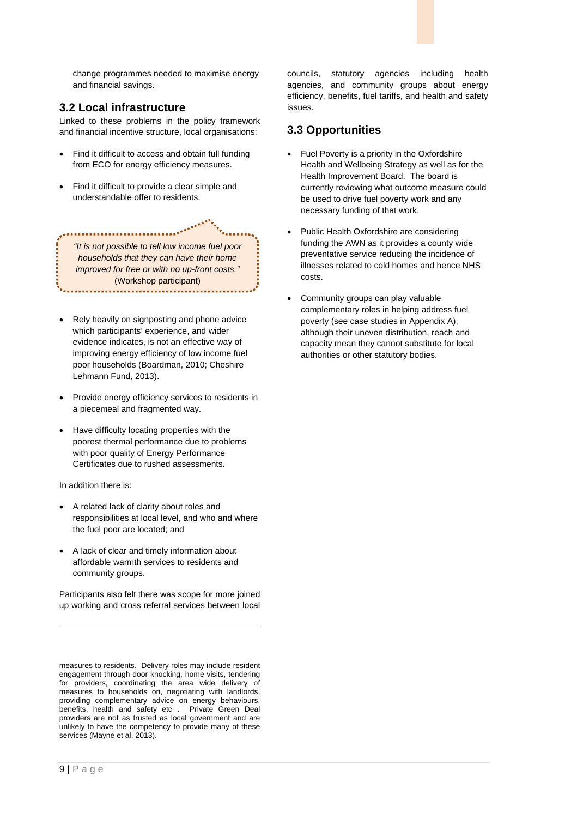change programmes needed to maximise energy and financial savings.

#### **3.2 Local infrastructure**

Linked to these problems in the policy framework and financial incentive structure, local organisations:

- Find it difficult to access and obtain full funding from ECO for energy efficiency measures.
- Find it difficult to provide a clear simple and understandable offer to residents.

*"It is not possible to tell low income fuel poor households that they can have their home improved for free or with no up-front costs."* (Workshop participant)

- Rely heavily on signposting and phone advice which participants' experience, and wider evidence indicates, is not an effective way of improving energy efficiency of low income fuel poor households (Boardman, 2010; Cheshire Lehmann Fund, 2013).
- Provide energy efficiency services to residents in a piecemeal and fragmented way.
- Have difficulty locating properties with the poorest thermal performance due to problems with poor quality of Energy Performance Certificates due to rushed assessments.

In addition there is:

- A related lack of clarity about roles and responsibilities at local level, and who and where the fuel poor are located; and
- A lack of clear and timely information about affordable warmth services to residents and community groups.

Participants also felt there was scope for more joined up working and cross referral services between local councils, statutory agencies including health agencies, and community groups about energy efficiency, benefits, fuel tariffs, and health and safety issues.

#### **3.3 Opportunities**

- Fuel Poverty is a priority in the Oxfordshire Health and Wellbeing Strategy as well as for the Health Improvement Board. The board is currently reviewing what outcome measure could be used to drive fuel poverty work and any necessary funding of that work.
- Public Health Oxfordshire are considering funding the AWN as it provides a county wide preventative service reducing the incidence of illnesses related to cold homes and hence NHS costs.
- Community groups can play valuable complementary roles in helping address fuel poverty (see case studies in Appendix A), although their uneven distribution, reach and capacity mean they cannot substitute for local authorities or other statutory bodies.

j

measures to residents. Delivery roles may include resident engagement through door knocking, home visits, tendering for providers, coordinating the area wide delivery of measures to households on, negotiating with landlords, providing complementary advice on energy behaviours, benefits, health and safety etc . Private Green Deal providers are not as trusted as local government and are unlikely to have the competency to provide many of these services (Mayne et al, 2013).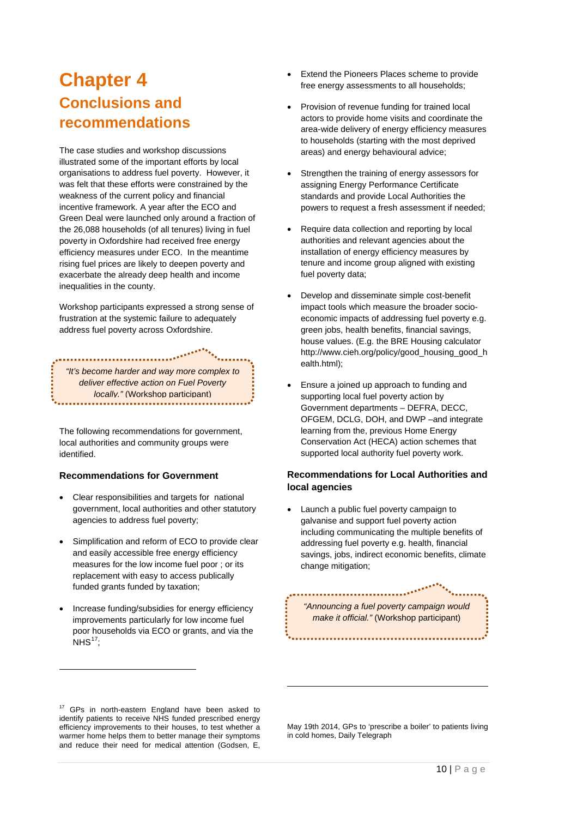### <span id="page-15-0"></span>**Chapter 4 Conclusions and recommendations**

The case studies and workshop discussions illustrated some of the important efforts by local organisations to address fuel poverty. However, it was felt that these efforts were constrained by the weakness of the current policy and financial incentive framework. A year after the ECO and Green Deal were launched only around a fraction of the 26,088 households (of all tenures) living in fuel poverty in Oxfordshire had received free energy efficiency measures under ECO. In the meantime rising fuel prices are likely to deepen poverty and exacerbate the already deep health and income inequalities in the county.

Workshop participants expressed a strong sense of frustration at the systemic failure to adequately address fuel poverty across Oxfordshire.

*"It's become harder and way more complex to deliver effective action on Fuel Poverty locally."* (Workshop participant)

The following recommendations for government, local authorities and community groups were identified.

#### **Recommendations for Government**

- Clear responsibilities and targets for national government, local authorities and other statutory agencies to address fuel poverty;
- Simplification and reform of ECO to provide clear and easily accessible free energy efficiency measures for the low income fuel poor ; or its replacement with easy to access publically funded grants funded by taxation;
- Increase funding/subsidies for energy efficiency improvements particularly for low income fuel poor households via ECO or grants, and via the  $NHS<sup>17</sup>$ ;

-

- Extend the Pioneers Places scheme to provide free energy assessments to all households;
- Provision of revenue funding for trained local actors to provide home visits and coordinate the area-wide delivery of energy efficiency measures to households (starting with the most deprived areas) and energy behavioural advice;
- Strengthen the training of energy assessors for assigning Energy Performance Certificate standards and provide Local Authorities the powers to request a fresh assessment if needed;
- Require data collection and reporting by local authorities and relevant agencies about the installation of energy efficiency measures by tenure and income group aligned with existing fuel poverty data;
- Develop and disseminate simple cost-benefit impact tools which measure the broader socioeconomic impacts of addressing fuel poverty e.g. green jobs, health benefits, financial savings, house values. (E.g. the BRE Housing calculator http://www.cieh.org/policy/good\_housing\_good\_h ealth.html);
- Ensure a joined up approach to funding and supporting local fuel poverty action by Government departments – DEFRA, DECC, OFGEM, DCLG, DOH, and DWP –and integrate learning from the, previous Home Energy Conservation Act (HECA) action schemes that supported local authority fuel poverty work.

#### **Recommendations for Local Authorities and local agencies**

• Launch a public fuel poverty campaign to galvanise and support fuel poverty action including communicating the multiple benefits of addressing fuel poverty e.g. health, financial savings, jobs, indirect economic benefits, climate change mitigation;

*"Announcing a fuel poverty campaign would make it official."* (Workshop participant)

<span id="page-15-1"></span><sup>17</sup> GPs in north-eastern England have been asked to identify patients to receive NHS funded prescribed energy efficiency improvements to their houses, to test whether a warmer home helps them to better manage their symptoms and reduce their need for medical attention (Godsen, E,

May 19th 2014, GPs to 'prescribe a boiler' to patients living in cold homes, Daily Telegraph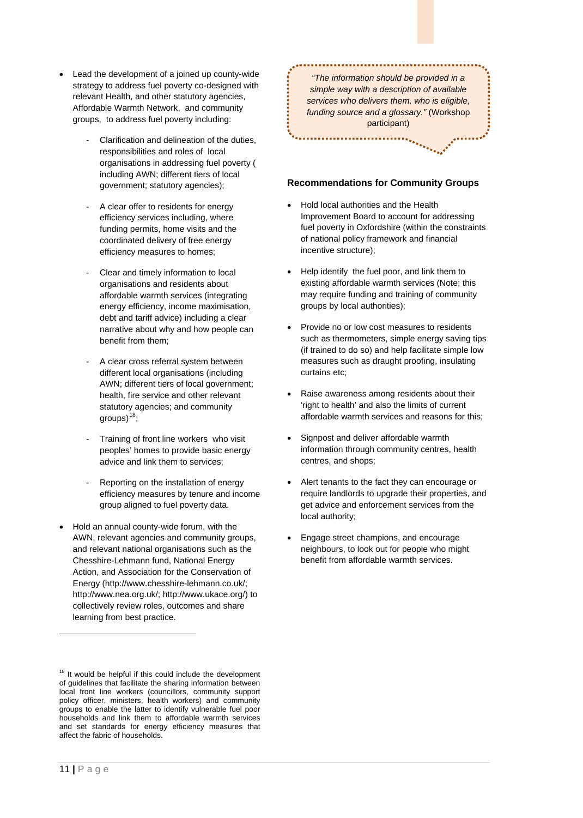- Lead the development of a joined up county-wide strategy to address fuel poverty co-designed with relevant Health, and other statutory agencies, Affordable Warmth Network, and community groups, to address fuel poverty including:
	- Clarification and delineation of the duties, responsibilities and roles of local organisations in addressing fuel poverty ( including AWN; different tiers of local government; statutory agencies);
	- A clear offer to residents for energy efficiency services including, where funding permits, home visits and the coordinated delivery of free energy efficiency measures to homes;
	- Clear and timely information to local organisations and residents about affordable warmth services (integrating energy efficiency, income maximisation, debt and tariff advice) including a clear narrative about why and how people can benefit from them;
	- A clear cross referral system between different local organisations (including AWN; different tiers of local government; health, fire service and other relevant statutory agencies; and community groups) $18$ ;
	- Training of front line workers who visit peoples' homes to provide basic energy advice and link them to services;
	- Reporting on the installation of energy efficiency measures by tenure and income group aligned to fuel poverty data.
- Hold an annual county-wide forum, with the AWN, relevant agencies and community groups, and relevant national organisations such as the Chesshire-Lehmann fund, National Energy Action, and Association for the Conservation of Energy (http://www.chesshire-lehmann.co.uk/; http://www.nea.org.uk/; http://www.ukace.org/) to collectively review roles, outcomes and share learning from best practice.

*"The information should be provided in a simple way with a description of available services who delivers them, who is eligible, funding source and a glossary."* (Workshop participant)

#### **Recommendations for Community Groups**

- Hold local authorities and the Health Improvement Board to account for addressing fuel poverty in Oxfordshire (within the constraints of national policy framework and financial incentive structure);
- Help identify the fuel poor, and link them to existing affordable warmth services (Note; this may require funding and training of community groups by local authorities);
- Provide no or low cost measures to residents such as thermometers, simple energy saving tips (if trained to do so) and help facilitate simple low measures such as draught proofing, insulating curtains etc;
- Raise awareness among residents about their 'right to health' and also the limits of current affordable warmth services and reasons for this;
- Signpost and deliver affordable warmth information through community centres, health centres, and shops;
- Alert tenants to the fact they can encourage or require landlords to upgrade their properties, and get advice and enforcement services from the local authority;
- Engage street champions, and encourage neighbours, to look out for people who might benefit from affordable warmth services.

<span id="page-16-0"></span><sup>&</sup>lt;sup>18</sup> It would be helpful if this could include the development of guidelines that facilitate the sharing information between local front line workers (councillors, community support policy officer, ministers, health workers) and community groups to enable the latter to identify vulnerable fuel poor households and link them to affordable warmth services and set standards for energy efficiency measures that affect the fabric of households.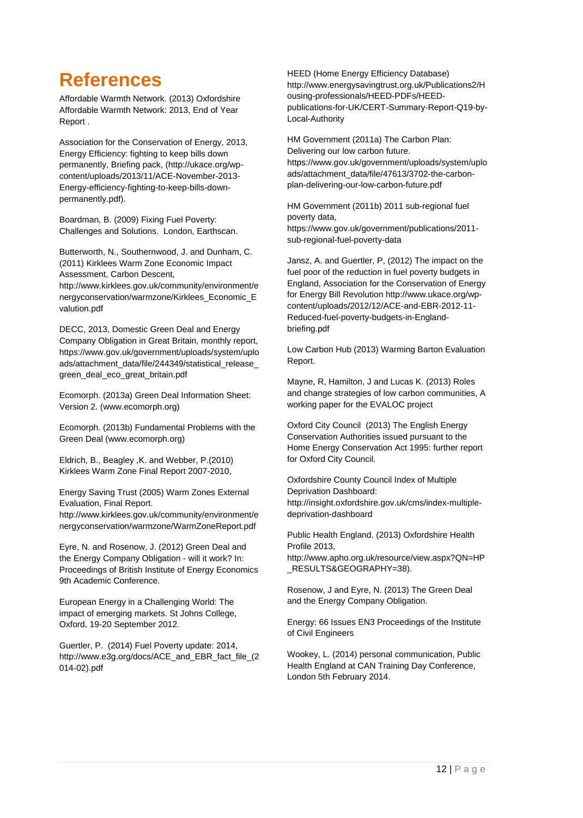## <span id="page-17-0"></span>**References**

Affordable Warmth Network. (2013) Oxfordshire Affordable Warmth Network: 2013, End of Year Report .

Association for the Conservation of Energy, 2013, Energy Efficiency: fighting to keep bills down permanently, Briefing pack, (http://ukace.org/wpcontent/uploads/2013/11/ACE-November-2013- Energy-efficiency-fighting-to-keep-bills-downpermanently.pdf).

Boardman, B. (2009) Fixing Fuel Poverty: Challenges and Solutions. London, Earthscan.

Butterworth, N., Southernwood, J. and Dunham, C. (2011) Kirklees Warm Zone Economic Impact Assessment, Carbon Descent,

http://www.kirklees.gov.uk/community/environment/e nergyconservation/warmzone/Kirklees\_Economic\_E valution.pdf

DECC, 2013, Domestic Green Deal and Energy Company Obligation in Great Britain, monthly report, https://www.gov.uk/government/uploads/system/uplo ads/attachment\_data/file/244349/statistical\_release green\_deal\_eco\_great\_britain.pdf

Ecomorph. (2013a) Green Deal Information Sheet: Version 2. (www.ecomorph.org)

Ecomorph. (2013b) Fundamental Problems with the Green Deal (www.ecomorph.org)

Eldrich, B., Beagley ,K. and Webber, P.(2010) Kirklees Warm Zone Final Report 2007-2010,

Energy Saving Trust (2005) Warm Zones External Evaluation, Final Report. http://www.kirklees.gov.uk/community/environment/e

nergyconservation/warmzone/WarmZoneReport.pdf

Eyre, N. and Rosenow, J. (2012) Green Deal and the Energy Company Obligation - will it work? In: Proceedings of British Institute of Energy Economics 9th Academic Conference.

European Energy in a Challenging World: The impact of emerging markets. St Johns College, Oxford, 19-20 September 2012.

Guertler, P. (2014) Fuel Poverty update: 2014, http://www.e3g.org/docs/ACE\_and\_EBR\_fact\_file\_(2 014-02).pdf

HEED (Home Energy Efficiency Database) http://www.energysavingtrust.org.uk/Publications2/H ousing-professionals/HEED-PDFs/HEEDpublications-for-UK/CERT-Summary-Report-Q19-by-Local-Authority

HM Government (2011a) The Carbon Plan: Delivering our low carbon future. https://www.gov.uk/government/uploads/system/uplo ads/attachment\_data/file/47613/3702-the-carbonplan-delivering-our-low-carbon-future.pdf

HM Government (2011b) 2011 sub-regional fuel poverty data, https://www.gov.uk/government/publications/2011 sub-regional-fuel-poverty-data

Jansz, A. and Guertler, P, (2012) The impact on the fuel poor of the reduction in fuel poverty budgets in England, Association for the Conservation of Energy for Energy Bill Revolution http://www.ukace.org/wpcontent/uploads/2012/12/ACE-and-EBR-2012-11- Reduced-fuel-poverty-budgets-in-Englandbriefing.pdf

Low Carbon Hub (2013) Warming Barton Evaluation Report.

Mayne, R, Hamilton, J and Lucas K. (2013) Roles and change strategies of low carbon communities, A working paper for the EVALOC project

Oxford City Council (2013) The English Energy Conservation Authorities issued pursuant to the Home Energy Conservation Act 1995: further report for Oxford City Council.

Oxfordshire County Council Index of Multiple Deprivation Dashboard: http://insight.oxfordshire.gov.uk/cms/index-multipledeprivation-dashboard

Public Health England. (2013) Oxfordshire Health Profile 2013, http://www.apho.org.uk/resource/view.aspx?QN=HP \_RESULTS&GEOGRAPHY=38).

Rosenow, J and Eyre, N. (2013) The Green Deal and the Energy Company Obligation.

Energy: 66 Issues EN3 Proceedings of the Institute of Civil Engineers

Wookey, L. (2014) personal communication, Public Health England at CAN Training Day Conference, London 5th February 2014.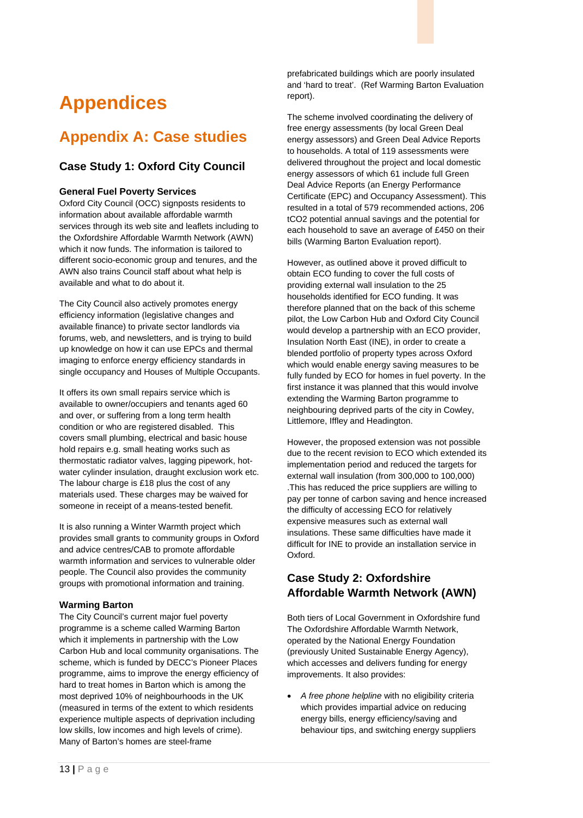# <span id="page-18-0"></span>**Appendices**

## <span id="page-18-1"></span>**Appendix A: Case studies**

#### **Case Study 1: Oxford City Council**

#### **General Fuel Poverty Services**

Oxford City Council (OCC) signposts residents to information about available affordable warmth services through its web site and leaflets including to the Oxfordshire Affordable Warmth Network (AWN) which it now funds. The information is tailored to different socio-economic group and tenures, and the AWN also trains Council staff about what help is available and what to do about it.

The City Council also actively promotes energy efficiency information (legislative changes and available finance) to private sector landlords via forums, web, and newsletters, and is trying to build up knowledge on how it can use EPCs and thermal imaging to enforce energy efficiency standards in single occupancy and Houses of Multiple Occupants.

It offers its own small repairs service which is available to owner/occupiers and tenants aged 60 and over, or suffering from a long term health condition or who are registered disabled. This covers small plumbing, electrical and basic house hold repairs e.g. small heating works such as thermostatic radiator valves, lagging pipework, hotwater cylinder insulation, draught exclusion work etc. The labour charge is £18 plus the cost of any materials used. These charges may be waived for someone in receipt of a means-tested benefit.

It is also running a Winter Warmth project which provides small grants to community groups in Oxford and advice centres/CAB to promote affordable warmth information and services to vulnerable older people. The Council also provides the community groups with promotional information and training.

#### **Warming Barton**

The City Council's current major fuel poverty programme is a scheme called Warming Barton which it implements in partnership with the Low Carbon Hub and local community organisations. The scheme, which is funded by DECC's Pioneer Places programme, aims to improve the energy efficiency of hard to treat homes in Barton which is among the most deprived 10% of neighbourhoods in the UK (measured in terms of the extent to which residents experience multiple aspects of deprivation including low skills, low incomes and high levels of crime). Many of Barton's homes are steel-frame

prefabricated buildings which are poorly insulated and 'hard to treat'. (Ref Warming Barton Evaluation report).

The scheme involved coordinating the delivery of free energy assessments (by local Green Deal energy assessors) and Green Deal Advice Reports to households. A total of 119 assessments were delivered throughout the project and local domestic energy assessors of which 61 include full Green Deal Advice Reports (an Energy Performance Certificate (EPC) and Occupancy Assessment). This resulted in a total of 579 recommended actions, 206 tCO2 potential annual savings and the potential for each household to save an average of £450 on their bills (Warming Barton Evaluation report).

However, as outlined above it proved difficult to obtain ECO funding to cover the full costs of providing external wall insulation to the 25 households identified for ECO funding. It was therefore planned that on the back of this scheme pilot, the Low Carbon Hub and Oxford City Council would develop a partnership with an ECO provider, Insulation North East (INE), in order to create a blended portfolio of property types across Oxford which would enable energy saving measures to be fully funded by ECO for homes in fuel poverty. In the first instance it was planned that this would involve extending the Warming Barton programme to neighbouring deprived parts of the city in Cowley, Littlemore, Iffley and Headington.

However, the proposed extension was not possible due to the recent revision to ECO which extended its implementation period and reduced the targets for external wall insulation (from 300,000 to 100,000) .This has reduced the price suppliers are willing to pay per tonne of carbon saving and hence increased the difficulty of accessing ECO for relatively expensive measures such as external wall insulations. These same difficulties have made it difficult for INE to provide an installation service in Oxford.

#### **Case Study 2: Oxfordshire Affordable Warmth Network (AWN)**

Both tiers of Local Government in Oxfordshire fund The Oxfordshire Affordable Warmth Network, operated by the National Energy Foundation (previously United Sustainable Energy Agency), which accesses and delivers funding for energy improvements. It also provides:

• *A free phone helpline* with no eligibility criteria which provides impartial advice on reducing energy bills, energy efficiency/saving and behaviour tips, and switching energy suppliers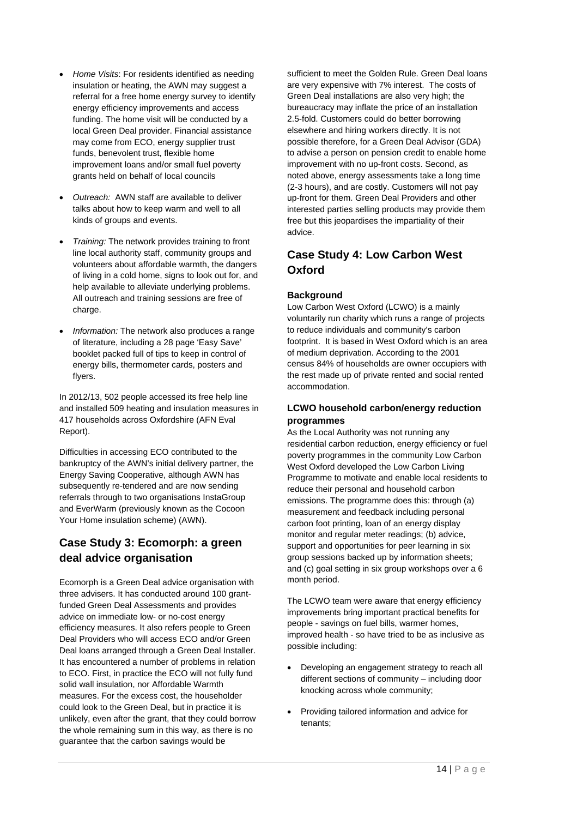- *Home Visits*: For residents identified as needing insulation or heating, the AWN may suggest a referral for a free home energy survey to identify energy efficiency improvements and access funding. The home visit will be conducted by a local Green Deal provider. Financial assistance may come from ECO, energy supplier trust funds, benevolent trust, flexible home improvement loans and/or small fuel poverty grants held on behalf of local councils
- *Outreach:* AWN staff are available to deliver talks about how to keep warm and well to all kinds of groups and events.
- *Training:* The network provides training to front line local authority staff, community groups and volunteers about affordable warmth, the dangers of living in a cold home, signs to look out for, and help available to alleviate underlying problems. All outreach and training sessions are free of charge.
- *Information:* The network also produces a range of literature, including a 28 page 'Easy Save' booklet packed full of tips to keep in control of energy bills, thermometer cards, posters and flyers.

In 2012/13, 502 people accessed its free help line and installed 509 heating and insulation measures in 417 households across Oxfordshire (AFN Eval Report).

Difficulties in accessing ECO contributed to the bankruptcy of the AWN's initial delivery partner, the Energy Saving Cooperative, although AWN has subsequently re-tendered and are now sending referrals through to two organisations InstaGroup and EverWarm (previously known as the Cocoon Your Home insulation scheme) (AWN).

#### **Case Study 3: Ecomorph: a green deal advice organisation**

Ecomorph is a Green Deal advice organisation with three advisers. It has conducted around 100 grantfunded Green Deal Assessments and provides advice on immediate low- or no-cost energy efficiency measures. It also refers people to Green Deal Providers who will access ECO and/or Green Deal loans arranged through a Green Deal Installer. It has encountered a number of problems in relation to ECO. First, in practice the ECO will not fully fund solid wall insulation, nor Affordable Warmth measures. For the excess cost, the householder could look to the Green Deal, but in practice it is unlikely, even after the grant, that they could borrow the whole remaining sum in this way, as there is no guarantee that the carbon savings would be

sufficient to meet the Golden Rule. Green Deal loans are very expensive with 7% interest. The costs of Green Deal installations are also very high; the bureaucracy may inflate the price of an installation 2.5-fold. Customers could do better borrowing elsewhere and hiring workers directly. It is not possible therefore, for a Green Deal Advisor (GDA) to advise a person on pension credit to enable home improvement with no up-front costs. Second, as noted above, energy assessments take a long time (2-3 hours), and are costly. Customers will not pay up-front for them. Green Deal Providers and other interested parties selling products may provide them free but this jeopardises the impartiality of their advice.

#### **Case Study 4: Low Carbon West Oxford**

#### **Background**

Low Carbon West Oxford (LCWO) is a mainly voluntarily run charity which runs a range of projects to reduce individuals and community's carbon footprint. It is based in West Oxford which is an area of medium deprivation. According to the 2001 census 84% of households are owner occupiers with the rest made up of private rented and social rented accommodation.

#### **LCWO household carbon/energy reduction programmes**

As the Local Authority was not running any residential carbon reduction, energy efficiency or fuel poverty programmes in the community Low Carbon West Oxford developed the Low Carbon Living Programme to motivate and enable local residents to reduce their personal and household carbon emissions. The programme does this: through (a) measurement and feedback including personal carbon foot printing, loan of an energy display monitor and regular meter readings; (b) advice, support and opportunities for peer learning in six group sessions backed up by information sheets; and (c) goal setting in six group workshops over a 6 month period.

The LCWO team were aware that energy efficiency improvements bring important practical benefits for people - savings on fuel bills, warmer homes, improved health - so have tried to be as inclusive as possible including:

- Developing an engagement strategy to reach all different sections of community – including door knocking across whole community;
- Providing tailored information and advice for tenants;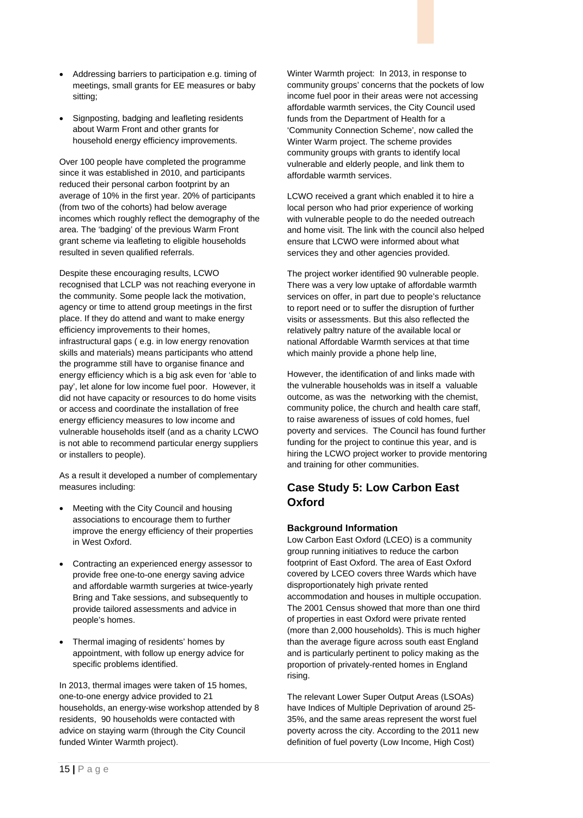- Addressing barriers to participation e.g. timing of meetings, small grants for EE measures or baby sitting;
- Signposting, badging and leafleting residents about Warm Front and other grants for household energy efficiency improvements.

Over 100 people have completed the programme since it was established in 2010, and participants reduced their personal carbon footprint by an average of 10% in the first year. 20% of participants (from two of the cohorts) had below average incomes which roughly reflect the demography of the area. The 'badging' of the previous Warm Front grant scheme via leafleting to eligible households resulted in seven qualified referrals.

Despite these encouraging results, LCWO recognised that LCLP was not reaching everyone in the community. Some people lack the motivation, agency or time to attend group meetings in the first place. If they do attend and want to make energy efficiency improvements to their homes, infrastructural gaps ( e.g. in low energy renovation skills and materials) means participants who attend the programme still have to organise finance and energy efficiency which is a big ask even for 'able to pay', let alone for low income fuel poor. However, it did not have capacity or resources to do home visits or access and coordinate the installation of free energy efficiency measures to low income and vulnerable households itself (and as a charity LCWO is not able to recommend particular energy suppliers or installers to people).

As a result it developed a number of complementary measures including:

- Meeting with the City Council and housing associations to encourage them to further improve the energy efficiency of their properties in West Oxford.
- Contracting an experienced energy assessor to provide free one-to-one energy saving advice and affordable warmth surgeries at twice-yearly Bring and Take sessions, and subsequently to provide tailored assessments and advice in people's homes.
- Thermal imaging of residents' homes by appointment, with follow up energy advice for specific problems identified.

In 2013, thermal images were taken of 15 homes, one-to-one energy advice provided to 21 households, an energy-wise workshop attended by 8 residents, 90 households were contacted with advice on staying warm (through the City Council funded Winter Warmth project).

Winter Warmth project: In 2013, in response to community groups' concerns that the pockets of low income fuel poor in their areas were not accessing affordable warmth services, the City Council used funds from the Department of Health for a 'Community Connection Scheme', now called the Winter Warm project. The scheme provides community groups with grants to identify local vulnerable and elderly people, and link them to affordable warmth services.

LCWO received a grant which enabled it to hire a local person who had prior experience of working with vulnerable people to do the needed outreach and home visit. The link with the council also helped ensure that LCWO were informed about what services they and other agencies provided.

The project worker identified 90 vulnerable people. There was a very low uptake of affordable warmth services on offer, in part due to people's reluctance to report need or to suffer the disruption of further visits or assessments. But this also reflected the relatively paltry nature of the available local or national Affordable Warmth services at that time which mainly provide a phone help line,

However, the identification of and links made with the vulnerable households was in itself a valuable outcome, as was the networking with the chemist, community police, the church and health care staff, to raise awareness of issues of cold homes, fuel poverty and services. The Council has found further funding for the project to continue this year, and is hiring the LCWO project worker to provide mentoring and training for other communities.

#### **Case Study 5: Low Carbon East Oxford**

#### **Background Information**

Low Carbon East Oxford (LCEO) is a community group running initiatives to reduce the carbon footprint of East Oxford. The area of East Oxford covered by LCEO covers three Wards which have disproportionately high private rented accommodation and houses in multiple occupation. The 2001 Census showed that more than one third of properties in east Oxford were private rented (more than 2,000 households). This is much higher than the average figure across south east England and is particularly pertinent to policy making as the proportion of privately-rented homes in England rising.

The relevant Lower Super Output Areas (LSOAs) have Indices of Multiple Deprivation of around 25- 35%, and the same areas represent the worst fuel poverty across the city. According to the 2011 new definition of fuel poverty (Low Income, High Cost)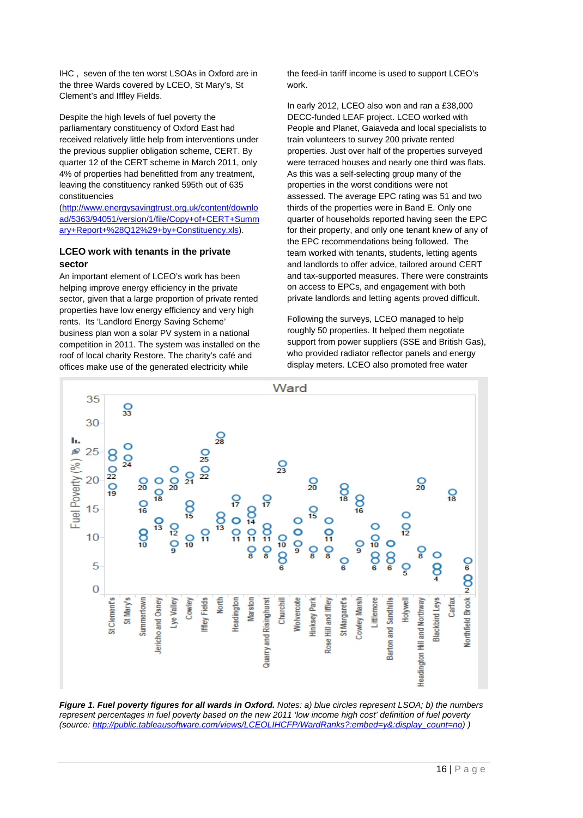IHC , seven of the ten worst LSOAs in Oxford are in the three Wards covered by LCEO, St Mary's, St Clement's and Iffley Fields.

Despite the high levels of fuel poverty the parliamentary constituency of Oxford East had received relatively little help from interventions under the previous supplier obligation scheme, CERT. By quarter 12 of the CERT scheme in March 2011, only 4% of properties had benefitted from any treatment, leaving the constituency ranked 595th out of 635 constituencies

[\(http://www.energysavingtrust.org.uk/content/downlo](http://www.energysavingtrust.org.uk/content/download/5363/94051/version/1/file/Copy+of+CERT+Summary+Report+%28Q12%29+by+Constituency.xls) [ad/5363/94051/version/1/file/Copy+of+CERT+Summ](http://www.energysavingtrust.org.uk/content/download/5363/94051/version/1/file/Copy+of+CERT+Summary+Report+%28Q12%29+by+Constituency.xls) [ary+Report+%28Q12%29+by+Constituency.xls\)](http://www.energysavingtrust.org.uk/content/download/5363/94051/version/1/file/Copy+of+CERT+Summary+Report+%28Q12%29+by+Constituency.xls).

#### **LCEO work with tenants in the private sector**

An important element of LCEO's work has been helping improve energy efficiency in the private sector, given that a large proportion of private rented properties have low energy efficiency and very high rents. Its 'Landlord Energy Saving Scheme' business plan won a solar PV system in a national competition in 2011. The system was installed on the roof of local charity Restore. The charity's café and offices make use of the generated electricity while

the feed-in tariff income is used to support LCEO's work.

In early 2012, LCEO also won and ran a £38,000 DECC-funded LEAF project. LCEO worked with People and Planet, Gaiaveda and local specialists to train volunteers to survey 200 private rented properties. Just over half of the properties surveyed were terraced houses and nearly one third was flats. As this was a self-selecting group many of the properties in the worst conditions were not assessed. The average EPC rating was 51 and two thirds of the properties were in Band E. Only one quarter of households reported having seen the EPC for their property, and only one tenant knew of any of the EPC recommendations being followed. The team worked with tenants, students, letting agents and landlords to offer advice, tailored around CERT and tax-supported measures. There were constraints on access to EPCs, and engagement with both private landlords and letting agents proved difficult.

Following the surveys, LCEO managed to help roughly 50 properties. It helped them negotiate support from power suppliers (SSE and British Gas), who provided radiator reflector panels and energy display meters. LCEO also promoted free water



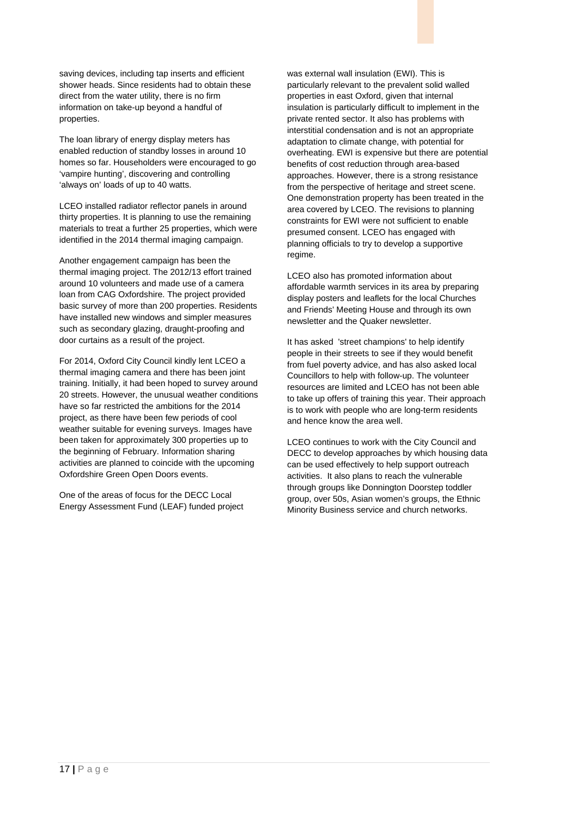saving devices, including tap inserts and efficient shower heads. Since residents had to obtain these direct from the water utility, there is no firm information on take-up beyond a handful of properties.

The loan library of energy display meters has enabled reduction of standby losses in around 10 homes so far. Householders were encouraged to go 'vampire hunting', discovering and controlling 'always on' loads of up to 40 watts.

LCEO installed radiator reflector panels in around thirty properties. It is planning to use the remaining materials to treat a further 25 properties, which were identified in the 2014 thermal imaging campaign.

Another engagement campaign has been the thermal imaging project. The 2012/13 effort trained around 10 volunteers and made use of a camera loan from CAG Oxfordshire. The project provided basic survey of more than 200 properties. Residents have installed new windows and simpler measures such as secondary glazing, draught-proofing and door curtains as a result of the project.

For 2014, Oxford City Council kindly lent LCEO a thermal imaging camera and there has been joint training. Initially, it had been hoped to survey around 20 streets. However, the unusual weather conditions have so far restricted the ambitions for the 2014 project, as there have been few periods of cool weather suitable for evening surveys. Images have been taken for approximately 300 properties up to the beginning of February. Information sharing activities are planned to coincide with the upcoming Oxfordshire Green Open Doors events.

One of the areas of focus for the DECC Local Energy Assessment Fund (LEAF) funded project

was external wall insulation (EWI). This is particularly relevant to the prevalent solid walled properties in east Oxford, given that internal insulation is particularly difficult to implement in the private rented sector. It also has problems with interstitial condensation and is not an appropriate adaptation to climate change, with potential for overheating. EWI is expensive but there are potential benefits of cost reduction through area-based approaches. However, there is a strong resistance from the perspective of heritage and street scene. One demonstration property has been treated in the area covered by LCEO. The revisions to planning constraints for EWI were not sufficient to enable presumed consent. LCEO has engaged with planning officials to try to develop a supportive regime.

LCEO also has promoted information about affordable warmth services in its area by preparing display posters and leaflets for the local Churches and Friends' Meeting House and through its own newsletter and the Quaker newsletter.

It has asked 'street champions' to help identify people in their streets to see if they would benefit from fuel poverty advice, and has also asked local Councillors to help with follow-up. The volunteer resources are limited and LCEO has not been able to take up offers of training this year. Their approach is to work with people who are long-term residents and hence know the area well.

LCEO continues to work with the City Council and DECC to develop approaches by which housing data can be used effectively to help support outreach activities. It also plans to reach the vulnerable through groups like Donnington Doorstep toddler group, over 50s, Asian women's groups, the Ethnic Minority Business service and church networks.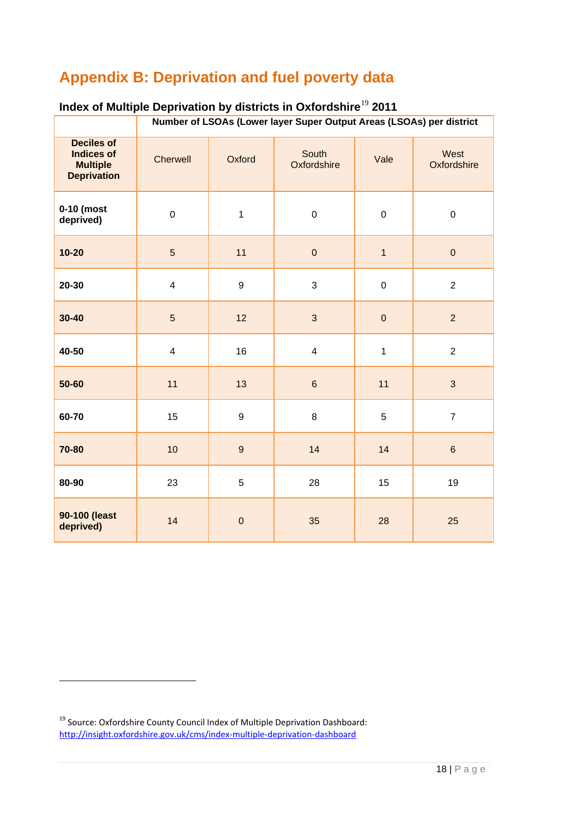### <span id="page-23-0"></span>**Appendix B: Deprivation and fuel poverty data**

|                                                                                 | Number of LSOAs (Lower layer Super Output Areas (LSOAs) per district |                  |                      |                |                     |
|---------------------------------------------------------------------------------|----------------------------------------------------------------------|------------------|----------------------|----------------|---------------------|
| <b>Deciles of</b><br><b>Indices of</b><br><b>Multiple</b><br><b>Deprivation</b> | <b>Cherwell</b>                                                      | Oxford           | South<br>Oxfordshire | Vale           | West<br>Oxfordshire |
| $0-10$ (most<br>deprived)                                                       | $\pmb{0}$                                                            | $\mathbf{1}$     | $\pmb{0}$            | $\pmb{0}$      | $\pmb{0}$           |
| $10 - 20$                                                                       | $\overline{5}$                                                       | 11               | $\mathbf 0$          | $\overline{1}$ | $\pmb{0}$           |
| $20 - 30$                                                                       | $\overline{\mathbf{4}}$                                              | $\boldsymbol{9}$ | $\mathbf{3}$         | $\pmb{0}$      | $\overline{2}$      |
| $30 - 40$                                                                       | 5                                                                    | 12               | $\mathbf{3}$         | $\pmb{0}$      | $\overline{2}$      |
| 40-50                                                                           | $\overline{\mathbf{4}}$                                              | 16               | $\overline{4}$       | $\mathbf{1}$   | $\overline{2}$      |
| $50 - 60$                                                                       | 11                                                                   | 13               | $\,6\,$              | 11             | 3                   |
| 60-70                                                                           | 15                                                                   | 9                | 8                    | $5\,$          | $\overline{7}$      |
| 70-80                                                                           | 10                                                                   | $\boldsymbol{9}$ | 14                   | 14             | $\,6\,$             |
| 80-90                                                                           | 23                                                                   | $\sqrt{5}$       | 28                   | 15             | 19                  |
| 90-100 (least<br>deprived)                                                      | 14                                                                   | $\pmb{0}$        | 35                   | 28             | 25                  |

### **Index of Multiple Deprivation by districts in Oxfordshire**[19](#page-23-1) **2011**

<span id="page-23-1"></span><sup>19</sup> Source: Oxfordshire County Council Index of Multiple Deprivation Dashboard: <http://insight.oxfordshire.gov.uk/cms/index-multiple-deprivation-dashboard>